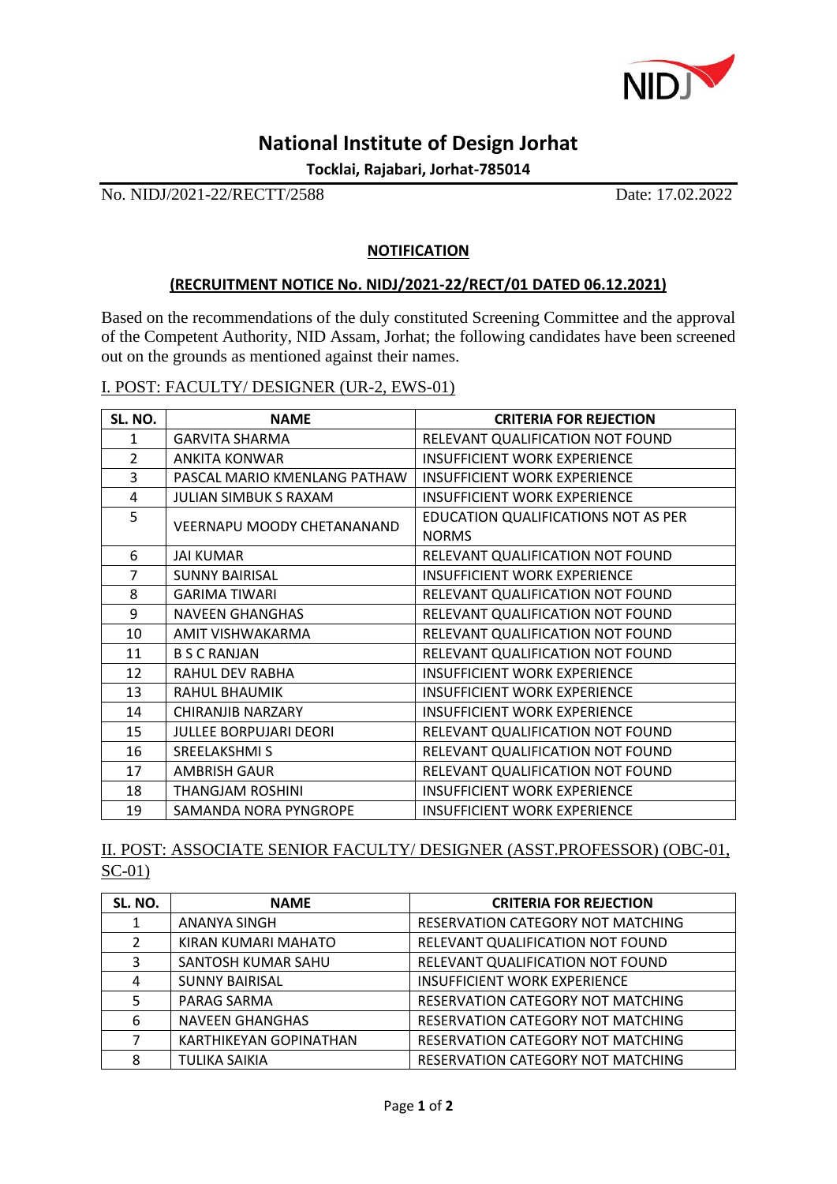

## **National Institute of Design Jorhat**

**Tocklai, Rajabari, Jorhat-785014**

No. NIDJ/2021-22/RECTT/2588 Date: 17.02.2022

## **NOTIFICATION**

## **(RECRUITMENT NOTICE No. NIDJ/2021-22/RECT/01 DATED 06.12.2021)**

Based on the recommendations of the duly constituted Screening Committee and the approval of the Competent Authority, NID Assam, Jorhat; the following candidates have been screened out on the grounds as mentioned against their names.

I. POST: FACULTY/ DESIGNER (UR-2, EWS-01)

| SL. NO.        | <b>NAME</b>                       | <b>CRITERIA FOR REJECTION</b>                       |
|----------------|-----------------------------------|-----------------------------------------------------|
| 1              | <b>GARVITA SHARMA</b>             | RELEVANT QUALIFICATION NOT FOUND                    |
| $\mathcal{L}$  | <b>ANKITA KONWAR</b>              | <b>INSUFFICIENT WORK EXPERIENCE</b>                 |
| 3              | PASCAL MARIO KMENLANG PATHAW      | <b>INSUFFICIENT WORK EXPERIENCE</b>                 |
| 4              | <b>JULIAN SIMBUK S RAXAM</b>      | <b>INSUFFICIENT WORK EXPERIENCE</b>                 |
| 5              | <b>VEERNAPU MOODY CHETANANAND</b> | EDUCATION QUALIFICATIONS NOT AS PER<br><b>NORMS</b> |
| 6              | <b>JAI KUMAR</b>                  | RELEVANT QUALIFICATION NOT FOUND                    |
| $\overline{7}$ | <b>SUNNY BAIRISAL</b>             | <b>INSUFFICIENT WORK EXPERIENCE</b>                 |
| 8              | <b>GARIMA TIWARI</b>              | RELEVANT QUALIFICATION NOT FOUND                    |
| 9              | <b>NAVEEN GHANGHAS</b>            | RELEVANT QUALIFICATION NOT FOUND                    |
| 10             | AMIT VISHWAKARMA                  | RELEVANT QUALIFICATION NOT FOUND                    |
| 11             | <b>B S C RANJAN</b>               | RELEVANT QUALIFICATION NOT FOUND                    |
| 12             | <b>RAHUL DEV RABHA</b>            | <b>INSUFFICIENT WORK EXPERIENCE</b>                 |
| 13             | RAHUL BHAUMIK                     | <b>INSUFFICIENT WORK EXPERIENCE</b>                 |
| 14             | CHIRANJIB NARZARY                 | <b>INSUFFICIENT WORK EXPERIENCE</b>                 |
| 15             | <b>JULLEE BORPUJARI DEORI</b>     | RELEVANT QUALIFICATION NOT FOUND                    |
| 16             | SREELAKSHMI S                     | RELEVANT QUALIFICATION NOT FOUND                    |
| 17             | <b>AMBRISH GAUR</b>               | RELEVANT QUALIFICATION NOT FOUND                    |
| 18             | <b>THANGJAM ROSHINI</b>           | <b>INSUFFICIENT WORK EXPERIENCE</b>                 |
| 19             | SAMANDA NORA PYNGROPE             | <b>INSUFFICIENT WORK EXPERIENCE</b>                 |

II. POST: ASSOCIATE SENIOR FACULTY/ DESIGNER (ASST.PROFESSOR) (OBC-01, SC-01)

| SL. NO.       | <b>NAME</b>            | <b>CRITERIA FOR REJECTION</b>       |
|---------------|------------------------|-------------------------------------|
| 1             | ANANYA SINGH           | RESERVATION CATEGORY NOT MATCHING   |
| $\mathcal{L}$ | KIRAN KUMARI MAHATO    | RELEVANT QUALIFICATION NOT FOUND    |
| 3             | SANTOSH KUMAR SAHU     | RELEVANT QUALIFICATION NOT FOUND    |
| 4             | <b>SUNNY BAIRISAL</b>  | <b>INSUFFICIENT WORK EXPERIENCE</b> |
|               | PARAG SARMA            | RESERVATION CATEGORY NOT MATCHING   |
| 6             | <b>NAVEEN GHANGHAS</b> | RESERVATION CATEGORY NOT MATCHING   |
| 7             | KARTHIKEYAN GOPINATHAN | RESERVATION CATEGORY NOT MATCHING   |
| 8             | <b>TULIKA SAIKIA</b>   | RESERVATION CATEGORY NOT MATCHING   |